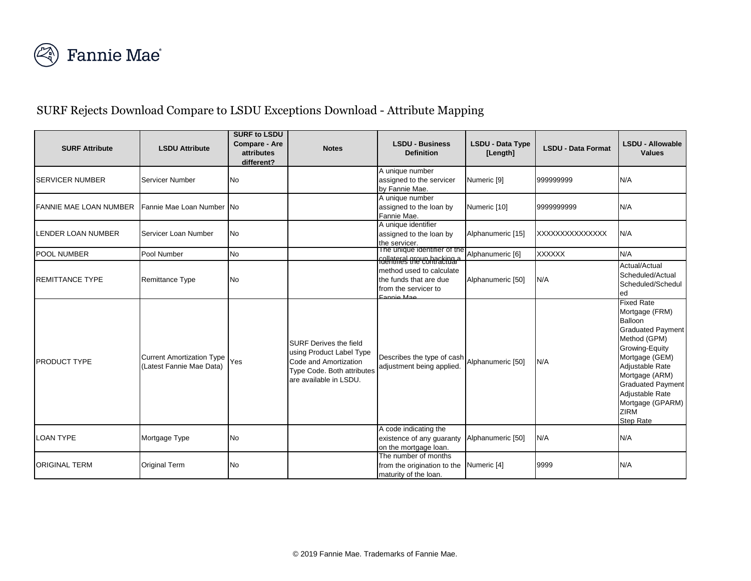

## SURF Rejects Download Compare to LSDU Exceptions Download - Attribute Mapping

| <b>SURF Attribute</b>         | <b>LSDU Attribute</b>                                        | <b>SURF to LSDU</b><br><b>Compare - Are</b><br>attributes<br>different? | <b>Notes</b>                                                                                                                               | <b>LSDU - Business</b><br><b>Definition</b>                                                         | <b>LSDU - Data Type</b><br>[Length] | <b>LSDU - Data Format</b> | <b>LSDU - Allowable</b><br><b>Values</b>                                                                                                                                                                                                                           |
|-------------------------------|--------------------------------------------------------------|-------------------------------------------------------------------------|--------------------------------------------------------------------------------------------------------------------------------------------|-----------------------------------------------------------------------------------------------------|-------------------------------------|---------------------------|--------------------------------------------------------------------------------------------------------------------------------------------------------------------------------------------------------------------------------------------------------------------|
| <b>SERVICER NUMBER</b>        | Servicer Number                                              | <b>No</b>                                                               |                                                                                                                                            | A unique number<br>assigned to the servicer<br>by Fannie Mae.                                       | Numeric [9]                         | 999999999                 | N/A                                                                                                                                                                                                                                                                |
| <b>FANNIE MAE LOAN NUMBER</b> | Fannie Mae Loan Number INo                                   |                                                                         |                                                                                                                                            | A unique number<br>assigned to the loan by<br>Fannie Mae.                                           | Numeric [10]                        | 9999999999                | N/A                                                                                                                                                                                                                                                                |
| <b>LENDER LOAN NUMBER</b>     | Servicer Loan Number                                         | <b>No</b>                                                               |                                                                                                                                            | A unique identifier<br>assigned to the loan by<br>the servicer.                                     | Alphanumeric [15]                   | XXXXXXXXXXXXXXX           | N/A                                                                                                                                                                                                                                                                |
| <b>POOL NUMBER</b>            | Pool Number                                                  | <b>No</b>                                                               |                                                                                                                                            | The unique identifier of the<br><u>collateral greup hacking a</u>                                   | Alphanumeric [6]                    | <b>XXXXXX</b>             | N/A                                                                                                                                                                                                                                                                |
| <b>REMITTANCE TYPE</b>        | <b>Remittance Type</b>                                       | <b>No</b>                                                               |                                                                                                                                            | method used to calculate<br>the funds that are due<br>from the servicer to<br>$E_{\Omega}$ nnio Moc | Alphanumeric [50]                   | N/A                       | Actual/Actual<br>Scheduled/Actual<br>Scheduled/Schedul<br>led                                                                                                                                                                                                      |
| <b>PRODUCT TYPE</b>           | <b>Current Amortization Type</b><br>(Latest Fannie Mae Data) | Yes                                                                     | <b>SURF Derives the field</b><br>using Product Label Type<br>Code and Amortization<br>Type Code. Both attributes<br>are available in LSDU. | Describes the type of cash<br>adjustment being applied.                                             | Alphanumeric [50]                   | N/A                       | <b>Fixed Rate</b><br>Mortgage (FRM)<br>Balloon<br><b>Graduated Payment</b><br>Method (GPM)<br>Growing-Equity<br>Mortgage (GEM)<br>Adjustable Rate<br>Mortgage (ARM)<br><b>Graduated Payment</b><br>Adjustable Rate<br>Mortgage (GPARM)<br>ZIRM<br><b>Step Rate</b> |
| <b>LOAN TYPE</b>              | Mortgage Type                                                | <b>No</b>                                                               |                                                                                                                                            | A code indicating the<br>existence of any guaranty<br>on the mortgage loan.                         | Alphanumeric [50]                   | N/A                       | N/A                                                                                                                                                                                                                                                                |
| <b>ORIGINAL TERM</b>          | <b>Original Term</b>                                         | No                                                                      |                                                                                                                                            | The number of months<br>from the origination to the Numeric [4]<br>maturity of the loan.            |                                     | 9999                      | N/A                                                                                                                                                                                                                                                                |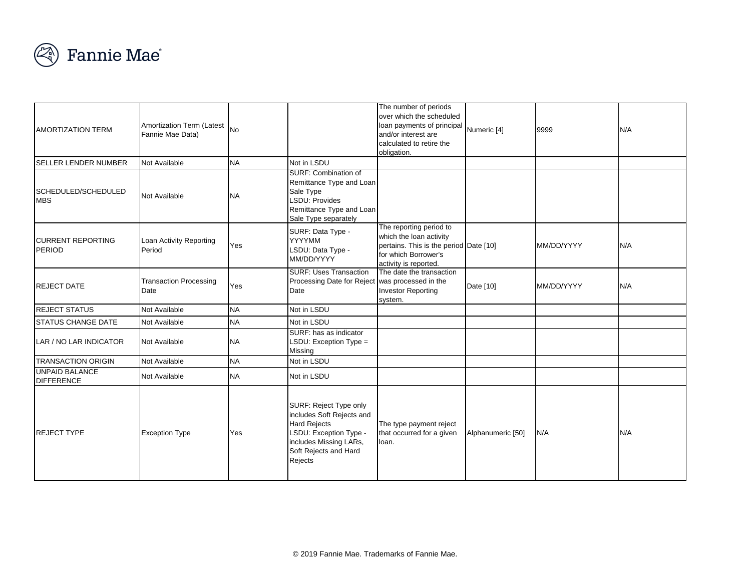

| <b>AMORTIZATION TERM</b>                   | Amortization Term (Latest<br>Fannie Mae Data) | <b>No</b> |                                                                                                                                                                    | The number of periods<br>over which the scheduled<br>loan payments of principal<br>and/or interest are<br>calculated to retire the<br>obligation. | Numeric [4]       | 9999       | N/A |
|--------------------------------------------|-----------------------------------------------|-----------|--------------------------------------------------------------------------------------------------------------------------------------------------------------------|---------------------------------------------------------------------------------------------------------------------------------------------------|-------------------|------------|-----|
| SELLER LENDER NUMBER                       | Not Available                                 | <b>NA</b> | Not in LSDU                                                                                                                                                        |                                                                                                                                                   |                   |            |     |
| SCHEDULED/SCHEDULED<br><b>MBS</b>          | Not Available                                 | <b>NA</b> | SURF: Combination of<br>Remittance Type and Loan<br>Sale Type<br><b>LSDU: Provides</b><br>Remittance Type and Loan<br>Sale Type separately                         |                                                                                                                                                   |                   |            |     |
| <b>ICURRENT REPORTING</b><br>PERIOD        | Loan Activity Reporting<br>Period             | Yes       | SURF: Data Type -<br>YYYYMM<br>LSDU: Data Type -<br>MM/DD/YYYY                                                                                                     | The reporting period to<br>which the loan activity<br>pertains. This is the period Date [10]<br>for which Borrower's<br>activity is reported.     |                   | MM/DD/YYYY | N/A |
| <b>REJECT DATE</b>                         | <b>Transaction Processing</b><br>Date         | Yes       | <b>SURF: Uses Transaction</b><br>Processing Date for Reject was processed in the<br>Date                                                                           | The date the transaction<br><b>Investor Reporting</b><br>system.                                                                                  | Date [10]         | MM/DD/YYYY | N/A |
| <b>REJECT STATUS</b>                       | Not Available                                 | <b>NA</b> | Not in LSDU                                                                                                                                                        |                                                                                                                                                   |                   |            |     |
| <b>STATUS CHANGE DATE</b>                  | Not Available                                 | <b>NA</b> | Not in LSDU                                                                                                                                                        |                                                                                                                                                   |                   |            |     |
| LAR / NO LAR INDICATOR                     | <b>Not Available</b>                          | <b>NA</b> | SURF: has as indicator<br>LSDU: Exception $Type =$<br>Missing                                                                                                      |                                                                                                                                                   |                   |            |     |
| <b>TRANSACTION ORIGIN</b>                  | Not Available                                 | <b>NA</b> | Not in LSDU                                                                                                                                                        |                                                                                                                                                   |                   |            |     |
| <b>UNPAID BALANCE</b><br><b>DIFFERENCE</b> | Not Available                                 | <b>NA</b> | Not in LSDU                                                                                                                                                        |                                                                                                                                                   |                   |            |     |
| <b>REJECT TYPE</b>                         | <b>Exception Type</b>                         | Yes       | SURF: Reject Type only<br>includes Soft Rejects and<br><b>Hard Rejects</b><br>LSDU: Exception Type -<br>includes Missing LARs,<br>Soft Rejects and Hard<br>Rejects | The type payment reject<br>that occurred for a given<br>loan.                                                                                     | Alphanumeric [50] | N/A        | N/A |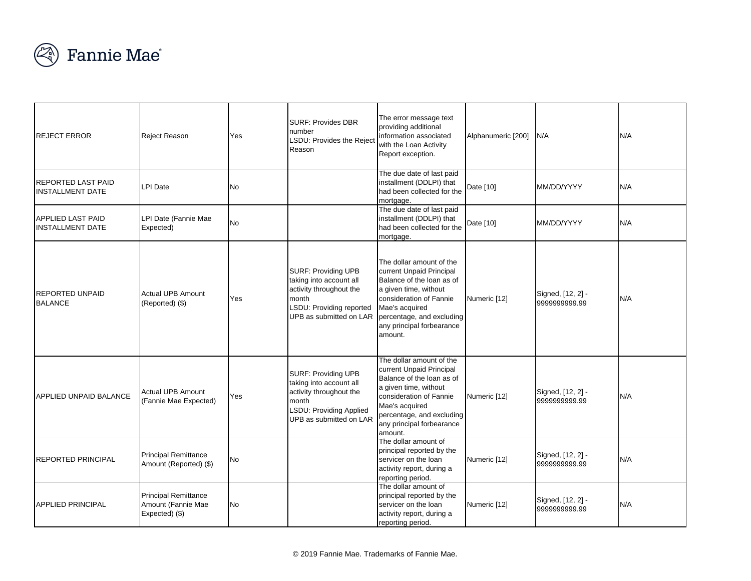

|                                                      |                                                                     |           | <b>SURF: Provides DBR</b>                                                                                                                        | The error message text                                                                                                                                                                                                       |                    |                                    |     |
|------------------------------------------------------|---------------------------------------------------------------------|-----------|--------------------------------------------------------------------------------------------------------------------------------------------------|------------------------------------------------------------------------------------------------------------------------------------------------------------------------------------------------------------------------------|--------------------|------------------------------------|-----|
| <b>REJECT ERROR</b>                                  | Reject Reason                                                       | Yes       | number<br>LSDU: Provides the Reject<br>Reason                                                                                                    | providing additional<br>information associated<br>with the Loan Activity<br>Report exception.                                                                                                                                | Alphanumeric [200] | N/A                                | N/A |
| <b>REPORTED LAST PAID</b><br><b>INSTALLMENT DATE</b> | LPI Date                                                            | <b>No</b> |                                                                                                                                                  | The due date of last paid<br>installment (DDLPI) that<br>had been collected for the<br>mortgage.                                                                                                                             | Date [10]          | MM/DD/YYYY                         | N/A |
| <b>APPLIED LAST PAID</b><br><b>INSTALLMENT DATE</b>  | LPI Date (Fannie Mae<br>Expected)                                   | <b>No</b> |                                                                                                                                                  | The due date of last paid<br>installment (DDLPI) that<br>had been collected for the<br>mortgage.                                                                                                                             | Date [10]          | MM/DD/YYYY                         | N/A |
| <b>REPORTED UNPAID</b><br><b>BALANCE</b>             | <b>Actual UPB Amount</b><br>(Reported) (\$)                         | Yes       | <b>SURF: Providing UPB</b><br>taking into account all<br>activity throughout the<br>month<br>LSDU: Providing reported<br>UPB as submitted on LAR | The dollar amount of the<br>current Unpaid Principal<br>Balance of the loan as of<br>a given time, without<br>consideration of Fannie<br>Mae's acquired<br>percentage, and excluding<br>any principal forbearance<br>amount. | Numeric [12]       | Signed, [12, 2] -<br>9999999999.99 | N/A |
| <b>APPLIED UNPAID BALANCE</b>                        | <b>Actual UPB Amount</b><br>(Fannie Mae Expected)                   | Yes       | <b>SURF: Providing UPB</b><br>taking into account all<br>activity throughout the<br>month<br>LSDU: Providing Applied<br>UPB as submitted on LAR  | The dollar amount of the<br>current Unpaid Principal<br>Balance of the loan as of<br>a given time, without<br>consideration of Fannie<br>Mae's acquired<br>percentage, and excluding<br>any principal forbearance<br>amount. | Numeric [12]       | Signed, [12, 2] -<br>9999999999.99 | N/A |
| <b>REPORTED PRINCIPAL</b>                            | <b>Principal Remittance</b><br>Amount (Reported) (\$)               | <b>No</b> |                                                                                                                                                  | The dollar amount of<br>principal reported by the<br>servicer on the loan<br>activity report, during a<br>reporting period.                                                                                                  | Numeric [12]       | Signed, [12, 2] -<br>9999999999.99 | N/A |
| <b>APPLIED PRINCIPAL</b>                             | <b>Principal Remittance</b><br>Amount (Fannie Mae<br>Expected) (\$) | <b>No</b> |                                                                                                                                                  | The dollar amount of<br>principal reported by the<br>servicer on the loan<br>activity report, during a<br>reporting period.                                                                                                  | Numeric [12]       | Signed, [12, 2] -<br>9999999999.99 | N/A |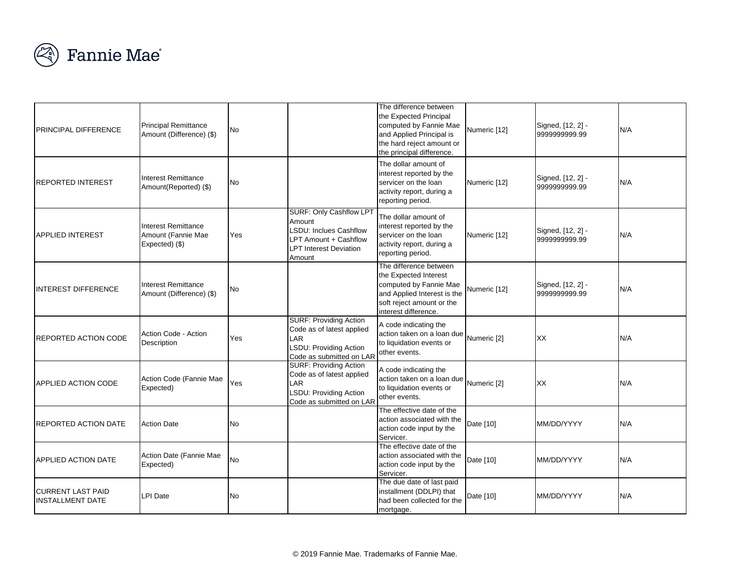

| <b>PRINCIPAL DIFFERENCE</b>                         | <b>Principal Remittance</b><br>Amount (Difference) (\$)     | <b>No</b> |                                                                                                                                               | The difference between<br>the Expected Principal<br>computed by Fannie Mae<br>and Applied Principal is<br>the hard reject amount or<br>the principal difference. | Numeric [12] | Signed, [12, 2] -<br>9999999999.99 | N/A |
|-----------------------------------------------------|-------------------------------------------------------------|-----------|-----------------------------------------------------------------------------------------------------------------------------------------------|------------------------------------------------------------------------------------------------------------------------------------------------------------------|--------------|------------------------------------|-----|
| <b>REPORTED INTEREST</b>                            | Interest Remittance<br>Amount(Reported) (\$)                | No        |                                                                                                                                               | The dollar amount of<br>interest reported by the<br>servicer on the loan<br>activity report, during a<br>reporting period.                                       | Numeric [12] | Signed, [12, 2] -<br>9999999999.99 | N/A |
| <b>APPLIED INTEREST</b>                             | Interest Remittance<br>Amount (Fannie Mae<br>Expected) (\$) | Yes       | <b>SURF: Only Cashflow LPT</b><br>Amount<br><b>LSDU: Inclues Cashflow</b><br>LPT Amount + Cashflow<br><b>LPT Interest Deviation</b><br>Amount | The dollar amount of<br>interest reported by the<br>servicer on the loan<br>activity report, during a<br>reporting period.                                       | Numeric [12] | Signed, [12, 2] -<br>9999999999.99 | N/A |
| INTEREST DIFFERENCE                                 | <b>Interest Remittance</b><br>Amount (Difference) (\$)      | No        |                                                                                                                                               | The difference between<br>the Expected Interest<br>computed by Fannie Mae<br>and Applied Interest is the<br>soft reject amount or the<br>interest difference.    | Numeric [12] | Signed, [12, 2] -<br>9999999999.99 | N/A |
| REPORTED ACTION CODE                                | Action Code - Action<br>Description                         | Yes       | <b>SURF: Providing Action</b><br>Code as of latest applied<br>LAR<br>LSDU: Providing Action<br>Code as submitted on LAR                       | A code indicating the<br>action taken on a loan due Numeric [2]<br>to liquidation events or<br>other events.                                                     |              | XX                                 | N/A |
| <b>APPLIED ACTION CODE</b>                          | Action Code (Fannie Mae<br>Expected)                        | Yes       | <b>SURF: Providing Action</b><br>Code as of latest applied<br>LAR<br>LSDU: Providing Action<br>Code as submitted on LAR                       | A code indicating the<br>action taken on a loan due Numeric [2]<br>to liquidation events or<br>other events.                                                     |              | XX                                 | N/A |
| <b>REPORTED ACTION DATE</b>                         | <b>Action Date</b>                                          | No        |                                                                                                                                               | The effective date of the<br>action associated with the<br>action code input by the<br>Servicer.                                                                 | Date [10]    | MM/DD/YYYY                         | N/A |
| APPLIED ACTION DATE                                 | Action Date (Fannie Mae<br>Expected)                        | <b>No</b> |                                                                                                                                               | The effective date of the<br>action associated with the<br>action code input by the<br>Servicer.                                                                 | Date [10]    | MM/DD/YYYY                         | N/A |
| <b>CURRENT LAST PAID</b><br><b>INSTALLMENT DATE</b> | LPI Date                                                    | No        |                                                                                                                                               | The due date of last paid<br>installment (DDLPI) that<br>had been collected for the<br>mortgage.                                                                 | Date [10]    | MM/DD/YYYY                         | N/A |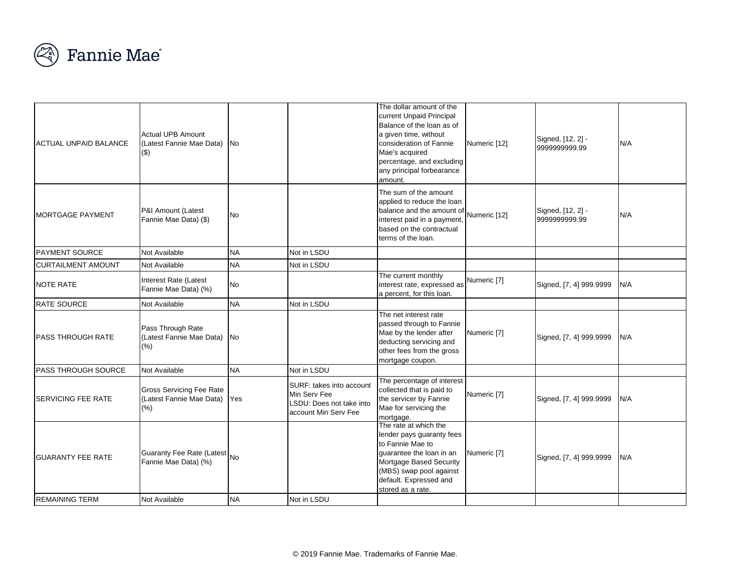

| <b>ACTUAL UNPAID BALANCE</b>                      | <b>Actual UPB Amount</b><br>(Latest Fannie Mae Data) No<br>(3)        |           |                                                                                              | The dollar amount of the<br>current Unpaid Principal<br>Balance of the loan as of<br>a given time, without<br>consideration of Fannie<br>Mae's acquired<br>percentage, and excluding<br>any principal forbearance<br>amount. | Numeric [12] | Signed, [12, 2] -<br>9999999999.99 | N/A |
|---------------------------------------------------|-----------------------------------------------------------------------|-----------|----------------------------------------------------------------------------------------------|------------------------------------------------------------------------------------------------------------------------------------------------------------------------------------------------------------------------------|--------------|------------------------------------|-----|
| MORTGAGE PAYMENT                                  | P&I Amount (Latest<br>Fannie Mae Data) (\$)                           | No        |                                                                                              | The sum of the amount<br>applied to reduce the loan<br>balance and the amount of<br>interest paid in a payment,<br>based on the contractual<br>terms of the loan.                                                            | Numeric [12] | Signed, [12, 2] -<br>9999999999.99 | N/A |
| <b>PAYMENT SOURCE</b>                             | <b>Not Available</b>                                                  | <b>NA</b> | Not in LSDU                                                                                  |                                                                                                                                                                                                                              |              |                                    |     |
| <b>CURTAILMENT AMOUNT</b>                         | Not Available                                                         | <b>NA</b> | Not in LSDU                                                                                  |                                                                                                                                                                                                                              |              |                                    |     |
| NOTE RATE                                         | Interest Rate (Latest<br>Fannie Mae Data) (%)                         | <b>No</b> |                                                                                              | The current monthly<br>interest rate, expressed as<br>a percent, for this loan.                                                                                                                                              | Numeric [7]  | Signed, [7, 4] 999.9999            | N/A |
| RATE SOURCE                                       | Not Available                                                         | <b>NA</b> | Not in LSDU                                                                                  |                                                                                                                                                                                                                              |              |                                    |     |
| <b>PASS THROUGH RATE</b>                          | Pass Through Rate<br>(Latest Fannie Mae Data) No<br>(% )              |           |                                                                                              | The net interest rate<br>passed through to Fannie<br>Mae by the lender after<br>deducting servicing and<br>other fees from the gross<br>mortgage coupon.                                                                     | Numeric [7]  | Signed, [7, 4] 999.9999            | N/A |
| <b>PASS THROUGH SOURCE</b>                        | <b>Not Available</b>                                                  | <b>NA</b> | Not in LSDU                                                                                  |                                                                                                                                                                                                                              |              |                                    |     |
| <b>SERVICING FEE RATE</b>                         | <b>Gross Servicing Fee Rate</b><br>(Latest Fannie Mae Data)<br>$(\%)$ | Yes       | SURF: takes into account<br>Min Serv Fee<br>LSDU: Does not take into<br>account Min Serv Fee | The percentage of interest<br>collected that is paid to<br>the servicer by Fannie<br>Mae for servicing the<br>mortgage.                                                                                                      | Numeric [7]  | Signed, [7, 4] 999.9999            | N/A |
| <b>GUARANTY FEE RATE</b><br><b>REMAINING TERM</b> | Guaranty Fee Rate (Latest No<br>Fannie Mae Data) (%)                  | <b>NA</b> | Not in LSDU                                                                                  | The rate at which the<br>lender pays guaranty fees<br>to Fannie Mae to<br>guarantee the loan in an<br>Mortgage Based Security<br>(MBS) swap pool against<br>default. Expressed and<br>stored as a rate.                      | Numeric [7]  | Signed, [7, 4] 999.9999            | N/A |
|                                                   | Not Available                                                         |           |                                                                                              |                                                                                                                                                                                                                              |              |                                    |     |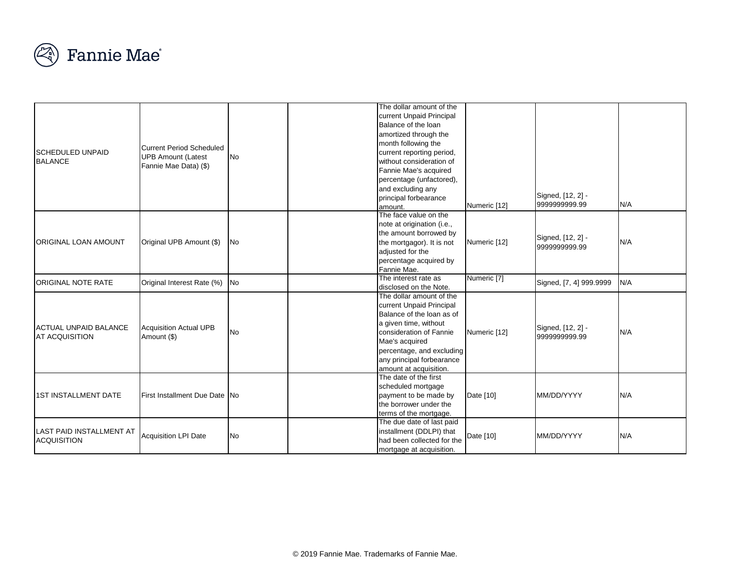

|                              |                                 |           | The dollar amount of the                              |              |                         |     |
|------------------------------|---------------------------------|-----------|-------------------------------------------------------|--------------|-------------------------|-----|
|                              |                                 |           | current Unpaid Principal                              |              |                         |     |
|                              |                                 |           | Balance of the loan                                   |              |                         |     |
|                              |                                 |           | amortized through the                                 |              |                         |     |
|                              |                                 |           |                                                       |              |                         |     |
| <b>SCHEDULED UNPAID</b>      | <b>Current Period Scheduled</b> |           | month following the                                   |              |                         |     |
| <b>BALANCE</b>               | <b>UPB Amount (Latest</b>       | <b>No</b> | current reporting period,<br>without consideration of |              |                         |     |
|                              | Fannie Mae Data) (\$)           |           | Fannie Mae's acquired                                 |              |                         |     |
|                              |                                 |           |                                                       |              |                         |     |
|                              |                                 |           | percentage (unfactored),                              |              |                         |     |
|                              |                                 |           | and excluding any<br>principal forbearance            |              | Signed, [12, 2] -       |     |
|                              |                                 |           | lamount.                                              | Numeric [12] | 9999999999.99           | N/A |
|                              |                                 |           | The face value on the                                 |              |                         |     |
|                              |                                 |           | note at origination (i.e.,                            |              |                         |     |
|                              |                                 |           | the amount borrowed by                                |              |                         |     |
| ORIGINAL LOAN AMOUNT         | Original UPB Amount (\$)        | <b>No</b> | the mortgagor). It is not                             | Numeric [12] | Signed, [12, 2] -       | N/A |
|                              |                                 |           | adjusted for the                                      |              | 9999999999.99           |     |
|                              |                                 |           | percentage acquired by                                |              |                         |     |
|                              |                                 |           | Fannie Mae.                                           |              |                         |     |
|                              |                                 |           | The interest rate as                                  | Numeric [7]  |                         |     |
| ORIGINAL NOTE RATE           | Original Interest Rate (%)      | <b>No</b> | disclosed on the Note.                                |              | Signed, [7, 4] 999.9999 | N/A |
|                              |                                 |           | The dollar amount of the                              |              |                         |     |
|                              |                                 |           | current Unpaid Principal                              |              |                         |     |
|                              |                                 |           | Balance of the loan as of                             |              |                         |     |
|                              |                                 |           | a given time, without                                 |              |                         |     |
| <b>ACTUAL UNPAID BALANCE</b> | <b>Acquisition Actual UPB</b>   | <b>No</b> | consideration of Fannie                               | Numeric [12] | Signed, [12, 2] -       | N/A |
| <b>AT ACQUISITION</b>        | Amount (\$)                     |           | Mae's acquired                                        |              | 9999999999.99           |     |
|                              |                                 |           | percentage, and excluding                             |              |                         |     |
|                              |                                 |           | any principal forbearance                             |              |                         |     |
|                              |                                 |           | amount at acquisition.                                |              |                         |     |
|                              |                                 |           | The date of the first                                 |              |                         |     |
|                              |                                 |           | scheduled mortgage                                    |              |                         |     |
| <b>1ST INSTALLMENT DATE</b>  | First Installment Due Date No   |           | payment to be made by                                 | Date [10]    | MM/DD/YYYY              | N/A |
|                              |                                 |           | the borrower under the                                |              |                         |     |
|                              |                                 |           | terms of the mortgage.                                |              |                         |     |
|                              |                                 |           | The due date of last paid                             |              |                         |     |
| LAST PAID INSTALLMENT AT     | <b>Acquisition LPI Date</b>     | <b>No</b> | installment (DDLPI) that                              | Date [10]    | MM/DD/YYYY              | N/A |
| <b>ACQUISITION</b>           |                                 |           | had been collected for the                            |              |                         |     |
|                              |                                 |           | mortgage at acquisition.                              |              |                         |     |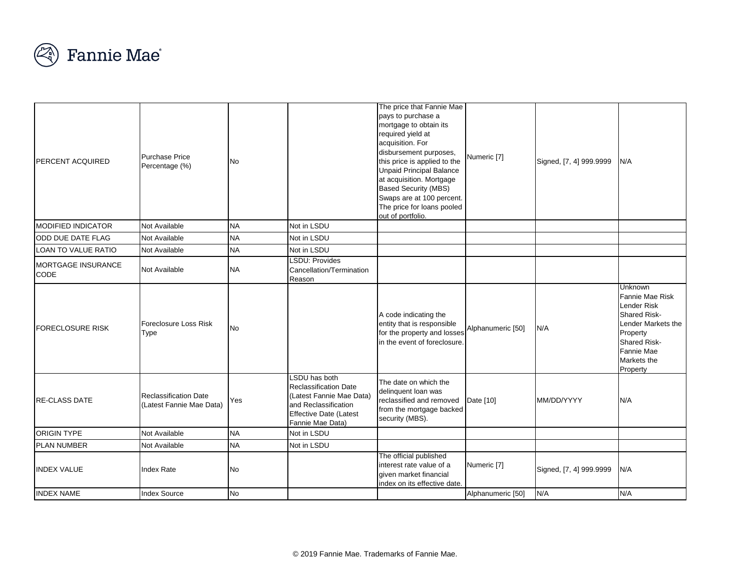

| <b>PERCENT ACQUIRED</b>           | <b>Purchase Price</b><br>Percentage (%)                  | No        |                                                                                                                                                 | The price that Fannie Mae<br>pays to purchase a<br>mortgage to obtain its<br>required yield at<br>acquisition. For<br>disbursement purposes,<br>this price is applied to the<br><b>Unpaid Principal Balance</b><br>at acquisition. Mortgage<br><b>Based Security (MBS)</b><br>Swaps are at 100 percent.<br>The price for loans pooled<br>out of portfolio. | Numeric [7]       | Signed, [7, 4] 999.9999 | N/A                                                                                                                                                                              |
|-----------------------------------|----------------------------------------------------------|-----------|-------------------------------------------------------------------------------------------------------------------------------------------------|------------------------------------------------------------------------------------------------------------------------------------------------------------------------------------------------------------------------------------------------------------------------------------------------------------------------------------------------------------|-------------------|-------------------------|----------------------------------------------------------------------------------------------------------------------------------------------------------------------------------|
| <b>MODIFIED INDICATOR</b>         | Not Available                                            | <b>NA</b> | Not in LSDU                                                                                                                                     |                                                                                                                                                                                                                                                                                                                                                            |                   |                         |                                                                                                                                                                                  |
| ODD DUE DATE FLAG                 | Not Available                                            | <b>NA</b> | Not in LSDU                                                                                                                                     |                                                                                                                                                                                                                                                                                                                                                            |                   |                         |                                                                                                                                                                                  |
| LOAN TO VALUE RATIO               | Not Available                                            | <b>NA</b> | Not in LSDU                                                                                                                                     |                                                                                                                                                                                                                                                                                                                                                            |                   |                         |                                                                                                                                                                                  |
| MORTGAGE INSURANCE<br><b>CODE</b> | <b>Not Available</b>                                     | <b>NA</b> | <b>LSDU: Provides</b><br>Cancellation/Termination<br>Reason                                                                                     |                                                                                                                                                                                                                                                                                                                                                            |                   |                         |                                                                                                                                                                                  |
| <b>FORECLOSURE RISK</b>           | Foreclosure Loss Risk<br>Type                            | <b>No</b> |                                                                                                                                                 | A code indicating the<br>entity that is responsible<br>for the property and losses<br>in the event of foreclosure.                                                                                                                                                                                                                                         | Alphanumeric [50] | N/A                     | <b>Unknown</b><br>Fannie Mae Risk<br><b>Lender Risk</b><br><b>Shared Risk-</b><br>Lender Markets the<br>Property<br><b>Shared Risk-</b><br>Fannie Mae<br>Markets the<br>Property |
| <b>RE-CLASS DATE</b>              | <b>Reclassification Date</b><br>(Latest Fannie Mae Data) | Yes       | LSDU has both<br>Reclassification Date<br>(Latest Fannie Mae Data)<br>and Reclassification<br><b>Effective Date (Latest</b><br>Fannie Mae Data) | The date on which the<br>delinquent loan was<br>reclassified and removed<br>from the mortgage backed<br>security (MBS).                                                                                                                                                                                                                                    | Date [10]         | MM/DD/YYYY              | N/A                                                                                                                                                                              |
| <b>ORIGIN TYPE</b>                | Not Available                                            | <b>NA</b> | Not in LSDU                                                                                                                                     |                                                                                                                                                                                                                                                                                                                                                            |                   |                         |                                                                                                                                                                                  |
| <b>PLAN NUMBER</b>                | Not Available                                            | <b>NA</b> | Not in LSDU                                                                                                                                     |                                                                                                                                                                                                                                                                                                                                                            |                   |                         |                                                                                                                                                                                  |
| <b>INDEX VALUE</b>                | <b>Index Rate</b>                                        | <b>No</b> |                                                                                                                                                 | The official published<br>interest rate value of a<br>given market financial<br>index on its effective date.                                                                                                                                                                                                                                               | Numeric [7]       | Signed, [7, 4] 999.9999 | N/A                                                                                                                                                                              |
| <b>INDEX NAME</b>                 | <b>Index Source</b>                                      | <b>No</b> |                                                                                                                                                 |                                                                                                                                                                                                                                                                                                                                                            | Alphanumeric [50] | N/A                     | N/A                                                                                                                                                                              |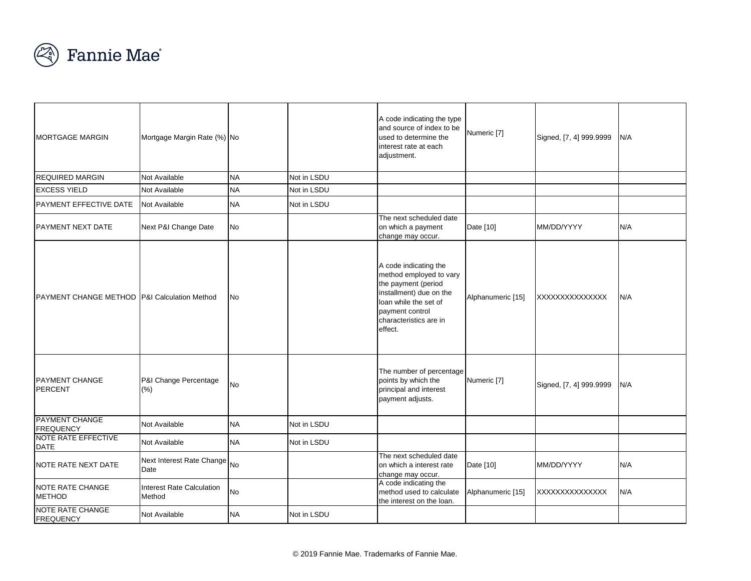

| <b>MORTGAGE MARGIN</b>                                  | Mortgage Margin Rate (%) No         |           |             | A code indicating the type<br>and source of index to be<br>used to determine the<br>interest rate at each<br>adjustment.                                                            | Numeric [7]       | Signed, [7, 4] 999.9999 | N/A |
|---------------------------------------------------------|-------------------------------------|-----------|-------------|-------------------------------------------------------------------------------------------------------------------------------------------------------------------------------------|-------------------|-------------------------|-----|
| <b>REQUIRED MARGIN</b>                                  | Not Available                       | <b>NA</b> | Not in LSDU |                                                                                                                                                                                     |                   |                         |     |
| <b>EXCESS YIELD</b>                                     | Not Available                       | <b>NA</b> | Not in LSDU |                                                                                                                                                                                     |                   |                         |     |
| PAYMENT EFFECTIVE DATE                                  | Not Available                       | <b>NA</b> | Not in LSDU |                                                                                                                                                                                     |                   |                         |     |
| <b>PAYMENT NEXT DATE</b>                                | Next P&I Change Date                | <b>No</b> |             | The next scheduled date<br>on which a payment<br>change may occur.                                                                                                                  | Date [10]         | MM/DD/YYYY              | N/A |
| <b>PAYMENT CHANGE METHOD P&amp;I Calculation Method</b> |                                     | <b>No</b> |             | A code indicating the<br>method employed to vary<br>the payment (period<br>installment) due on the<br>loan while the set of<br>payment control<br>characteristics are in<br>effect. | Alphanumeric [15] | XXXXXXXXXXXXXXX         | N/A |
| <b>PAYMENT CHANGE</b><br>PERCENT                        | P&I Change Percentage<br>(% )       | <b>No</b> |             | The number of percentage<br>points by which the<br>principal and interest<br>payment adjusts.                                                                                       | Numeric [7]       | Signed, [7, 4] 999.9999 | N/A |
| <b>PAYMENT CHANGE</b><br><b>FREQUENCY</b>               | Not Available                       | <b>NA</b> | Not in LSDU |                                                                                                                                                                                     |                   |                         |     |
| <b>NOTE RATE EFFECTIVE</b><br><b>DATE</b>               | Not Available                       | <b>NA</b> | Not in LSDU |                                                                                                                                                                                     |                   |                         |     |
| NOTE RATE NEXT DATE                                     | Next Interest Rate Change<br>Date   | <b>No</b> |             | The next scheduled date<br>on which a interest rate<br>change may occur.                                                                                                            | Date [10]         | MM/DD/YYYY              | N/A |
| <b>NOTE RATE CHANGE</b><br><b>METHOD</b>                | Interest Rate Calculation<br>Method | <b>No</b> |             | A code indicating the<br>method used to calculate<br>the interest on the loan.                                                                                                      | Alphanumeric [15] | XXXXXXXXXXXXXX          | N/A |
| <b>NOTE RATE CHANGE</b><br><b>FREQUENCY</b>             | Not Available                       | <b>NA</b> | Not in LSDU |                                                                                                                                                                                     |                   |                         |     |